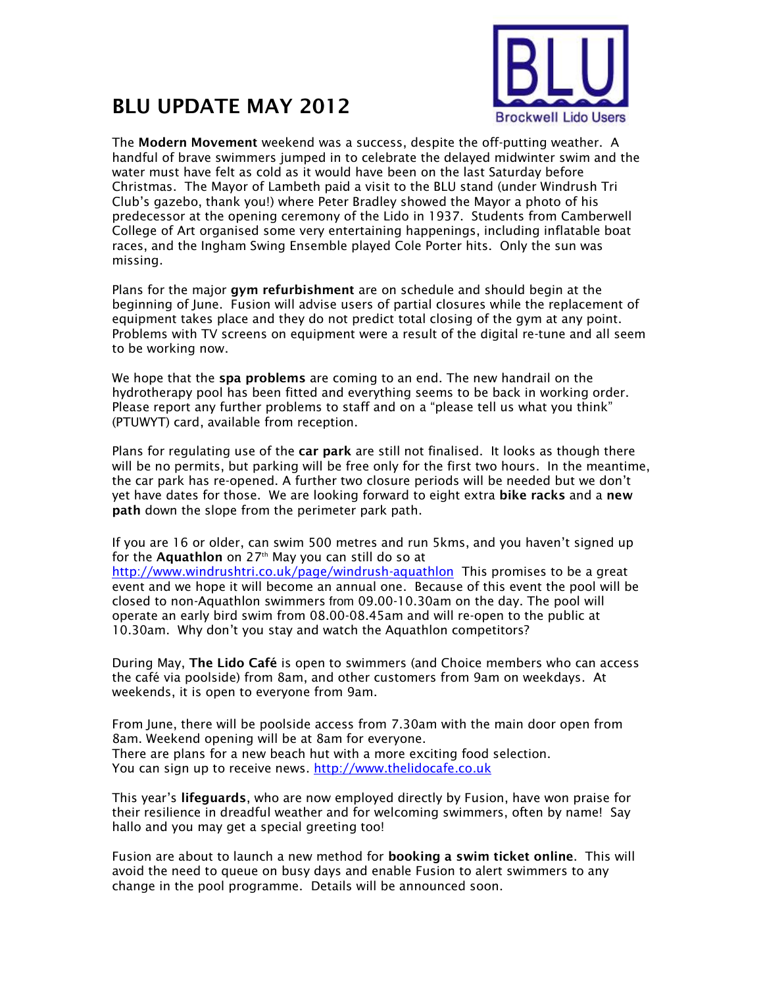

## **BLU UPDATE MAY 2012**

The **Modern Movement** weekend was a success, despite the off-putting weather. A handful of brave swimmers jumped in to celebrate the delayed midwinter swim and the water must have felt as cold as it would have been on the last Saturday before Christmas. The Mayor of Lambeth paid a visit to the BLU stand (under Windrush Tri Club's gazebo, thank you!) where Peter Bradley showed the Mayor a photo of his predecessor at the opening ceremony of the Lido in 1937. Students from Camberwell College of Art organised some very entertaining happenings, including inflatable boat races, and the Ingham Swing Ensemble played Cole Porter hits. Only the sun was missing.

Plans for the major **gym refurbishment** are on schedule and should begin at the beginning of June. Fusion will advise users of partial closures while the replacement of equipment takes place and they do not predict total closing of the gym at any point. Problems with TV screens on equipment were a result of the digital re-tune and all seem to be working now.

We hope that the **spa problems** are coming to an end. The new handrail on the hydrotherapy pool has been fitted and everything seems to be back in working order. Please report any further problems to staff and on a "please tell us what you think" (PTUWYT) card, available from reception.

Plans for regulating use of the **car park** are still not finalised. It looks as though there will be no permits, but parking will be free only for the first two hours. In the meantime, the car park has re-opened. A further two closure periods will be needed but we don't yet have dates for those. We are looking forward to eight extra **bike racks** and a **new path** down the slope from the perimeter park path.

If you are 16 or older, can swim 500 metres and run 5kms, and you haven't signed up for the **Aquathlon** on 27<sup>th</sup> May you can still do so at

<http://www.windrushtri.co.uk/page/windrush-aquathlon> This promises to be a great event and we hope it will become an annual one. Because of this event the pool will be closed to non-Aquathlon swimmers from 09.00-10.30am on the day. The pool will operate an early bird swim from 08.00-08.45am and will re-open to the public at 10.30am. Why don't you stay and watch the Aquathlon competitors?

During May, **The Lido Café** is open to swimmers (and Choice members who can access the café via poolside) from 8am, and other customers from 9am on weekdays. At weekends, it is open to everyone from 9am.

From June, there will be poolside access from 7.30am with the main door open from 8am. Weekend opening will be at 8am for everyone. There are plans for a new beach hut with a more exciting food selection. You can sign up to receive news. [http://www.thelidocafe.co.uk](http://www.thelidocafe.co.uk/)

This year's **lifeguards**, who are now employed directly by Fusion, have won praise for their resilience in dreadful weather and for welcoming swimmers, often by name! Say hallo and you may get a special greeting too!

Fusion are about to launch a new method for **booking a swim ticket online**. This will avoid the need to queue on busy days and enable Fusion to alert swimmers to any change in the pool programme. Details will be announced soon.